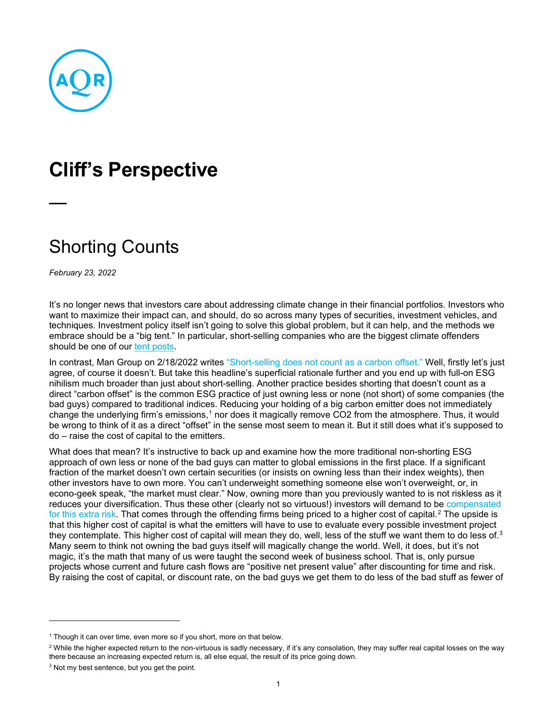

## **Cliff's Perspective**

## Shorting Counts

*February 23, 2022*

It's no longer news that investors care about addressing climate change in their financial portfolios. Investors who want to maximize their impact can, and should, do so across many types of securities, investment vehicles, and techniques. Investment policy itself isn't going to solve this global problem, but it can help, and the methods we embrace should be a "big tent." In particular, short-selling companies who are the biggest climate offenders should be one of our [tent posts.](https://www.aqr.com/Insights/Perspectives/Shorting-Your-Way-to-a-Greener-Tomorrow)

In contrast, Man Group on 2/18/2022 writes ["Short-selling does not count as a carbon offset."](https://www.ft.com/content/65ec280b-e9b0-40f3-9e6f-b0b65827aab6?shareType=nongift) Well, firstly let's just agree, of course it doesn't. But take this headline's superficial rationale further and you end up with full-on ESG nihilism much broader than just about short-selling. Another practice besides shorting that doesn't count as a direct "carbon offset" is the common ESG practice of just owning less or none (not short) of some companies (the bad guys) compared to traditional indices. Reducing your holding of a big carbon emitter does not immediately change the underlying firm's emissions,<sup>[1](#page-0-0)</sup> nor does it magically remove CO2 from the atmosphere. Thus, it would be wrong to think of it as a direct "offset" in the sense most seem to mean it. But it still does what it's supposed to do – raise the cost of capital to the emitters.

What does that mean? It's instructive to back up and examine how the more traditional non-shorting ESG approach of own less or none of the bad guys can matter to global emissions in the first place. If a significant fraction of the market doesn't own certain securities (or insists on owning less than their index weights), then other investors have to own more. You can't underweight something someone else won't overweight, or, in econo-geek speak, "the market must clear." Now, owning more than you previously wanted to is not riskless as it reduces your diversification. Thus these other (clearly not so virtuous!) investors will demand to be compensated [for this extra risk.](https://www.aqr.com/Insights/Perspectives/Virtue-is-its-Own-Reward-Or-One-Mans-Ceiling-is-Another-Mans-Floor) That comes through the offending firms being priced to a higher cost of capital.<sup>[2](#page-0-1)</sup> The upside is that this higher cost of capital is what the emitters will have to use to evaluate every possible investment project they contemplate. This higher cost of capital will mean they do, well, less of the stuff we want them to do less of. $3$ Many seem to think not owning the bad guys itself will magically change the world. Well, it does, but it's not magic, it's the math that many of us were taught the second week of business school. That is, only pursue projects whose current and future cash flows are "positive net present value" after discounting for time and risk. By raising the cost of capital, or discount rate, on the bad guys we get them to do less of the bad stuff as fewer of

<span id="page-0-0"></span> $1$  Though it can over time, even more so if you short, more on that below.

<span id="page-0-1"></span><sup>&</sup>lt;sup>2</sup> While the higher expected return to the non-virtuous is sadly necessary, if it's any consolation, they may suffer real capital losses on the way there because an increasing expected return is, all else equal, the result of its price going down.

<span id="page-0-2"></span><sup>&</sup>lt;sup>3</sup> Not my best sentence, but you get the point.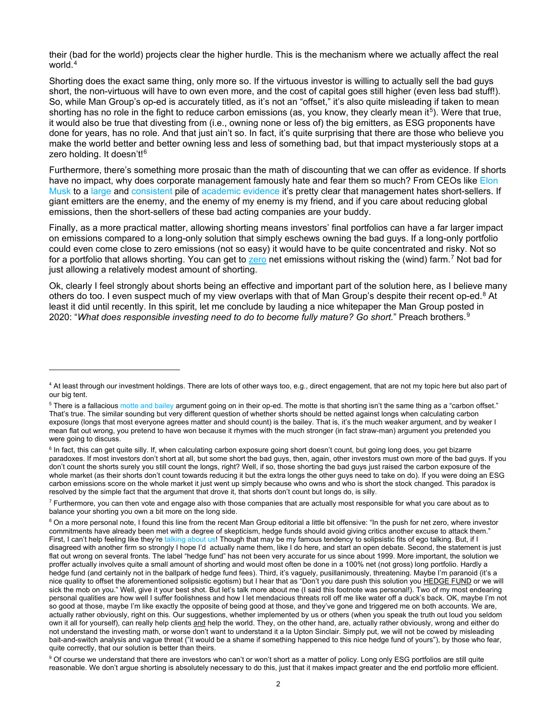their (bad for the world) projects clear the higher hurdle. This is the mechanism where we actually affect the real world.<sup>[4](#page-1-0)</sup>

Shorting does the exact same thing, only more so. If the virtuous investor is willing to actually sell the bad guys short, the non-virtuous will have to own even more, and the cost of capital goes still higher (even less bad stuff!). So, while Man Group's op-ed is accurately titled, as it's not an "offset," it's also quite misleading if taken to mean shorting has no role in the fight to reduce carbon emissions (as, you know, they clearly mean it<sup>5</sup>). Were that true, it would also be true that divesting from (i.e., owning none or less of) the big emitters, as ESG proponents have done for years, has no role. And that just ain't so. In fact, it's quite surprising that there are those who believe you make the world better and better owning less and less of something bad, but that impact mysteriously stops at a zero holding. It doesn't!<sup>[6](#page-1-2)</sup>

Furthermore, there's something more prosaic than the math of discounting that we can offer as evidence. If shorts have no impact, why does corporate management famously hate and fear them so much? From CEOs like Elon [Musk](https://www.yahoo.com/video/yes-elon-musk-still-hates-002056631.html) to a [large](https://onlinelibrary.wiley.com/doi/abs/10.1111/j.1540-6261.2010.01597.x) and [consistent](https://econpapers.repec.org/article/ouprfinst/v_3a28_3ay_3a2015_3ai_3a6_3ap_3a1737-1767..htm) pile of [academic](https://econpapers.repec.org/article/ouprfinst/v_3a28_3ay_3a2015_3ai_3a6_3ap_3a1701-1736..htm) [evidence](https://maaw.info/JournalofAccountingandEconomics.htm) it's pretty clear that management hates short-sellers. If giant emitters are the enemy, and the enemy of my enemy is my friend, and if you care about reducing global emissions, then the short-sellers of these bad acting companies are your buddy.

Finally, as a more practical matter, allowing shorting means investors' final portfolios can have a far larger impact on emissions compared to a long-only solution that simply eschews owning the bad guys. If a long-only portfolio could even come close to zero emissions (not so easy) it would have to be quite concentrated and risky. Not so for a portfolio that allows shorting. You can get to [zero](https://www.aqr.com/Insights/Perspectives/Shorting-Your-Way-to-a-Greener-Tomorrow) net emissions without risking the (wind) farm.<sup>[7](#page-1-3)</sup> Not bad for just allowing a relatively modest amount of shorting.

Ok, clearly I feel strongly about shorts being an effective and important part of the solution here, as I believe many others do too. I even suspect much of my view overlaps with that of Man Group's despite their recent op-ed.<sup>[8](#page-1-4)</sup> At least it did until recently. In this spirit, let me conclude by lauding a nice whitepaper the Man Group posted in 2020: "*What does responsible investing need to do to become fully mature? Go short.*" Preach brothers.[9](#page-1-5)

<span id="page-1-0"></span><sup>4</sup> At least through our investment holdings. There are lots of other ways too, e.g., direct engagement, that are not my topic here but also part of our big tent.

<span id="page-1-1"></span><sup>&</sup>lt;sup>5</sup> There is a fallaciou[s motte and bailey](https://en.wikipedia.org/wiki/Motte-and-bailey_fallacy) argument going on in their op-ed. The motte is that shorting isn't the same thing as a "carbon offset." That's true. The similar sounding but very different question of whether shorts should be netted against longs when calculating carbon exposure (longs that most everyone agrees matter and should count) is the bailey. That is, it's the much weaker argument, and by weaker I mean flat out wrong, you pretend to have won because it rhymes with the much stronger (in fact straw-man) argument you pretended you were going to discuss.

<span id="page-1-2"></span><sup>&</sup>lt;sup>6</sup> In fact, this can get quite silly. If, when calculating carbon exposure going short doesn't count, but going long does, you get bizarre paradoxes. If most investors don't short at all, but some short the bad guys, then, again, other investors must own more of the bad guys. If you don't count the shorts surely you still count the longs, right? Well, if so, those shorting the bad guys just raised the carbon exposure of the whole market (as their shorts don't count towards reducing it but the extra longs the other guys need to take on do). If you were doing an ESG carbon emissions score on the whole market it just went up simply because who owns and who is short the stock changed. This paradox is resolved by the simple fact that the argument that drove it, that shorts don't count but longs do, is silly.

<span id="page-1-3"></span> $<sup>7</sup>$  Furthermore, you can then vote and engage also with those companies that are actually most responsible for what you care about as to</sup> balance your shorting you own a bit more on the long side.

<span id="page-1-4"></span><sup>&</sup>lt;sup>8</sup> On a more personal note, I found this line from the recent Man Group editorial a little bit offensive: "In the push for net zero, where investor commitments have already been met with a degree of skepticism, hedge funds should avoid giving critics another excuse to attack them." First, I can't help feeling like they're [talking about us!](https://www.aqr.com/Insights/Perspectives/Shorting-Your-Way-to-a-Greener-Tomorrow) Though that may be my famous tendency to solipsistic fits of ego talking. But, if I disagreed with another firm so strongly I hope I'd actually name them, like I do here, and start an open debate. Second, the statement is just flat out wrong on several fronts. The label "hedge fund" has not been very accurate for us since about 1999. More important, the solution we proffer actually involves quite a small amount of shorting and would most often be done in a 100% net (not gross) long portfolio. Hardly a hedge fund (and certainly not in the ballpark of hedge fund fees). Third, it's vaguely, pusillanimously, threatening. Maybe I'm paranoid (it's a nice quality to offset the aforementioned solipsistic egotism) but I hear that as "Don't you dare push this solution you HEDGE FUND or we will sick the mob on you." Well, give it your best shot. But let's talk more about me (I said this footnote was personal!). Two of my most endearing personal qualities are how well I suffer foolishness and how I let mendacious threats roll off me like water off a duck's back. OK, maybe I'm not so good at those, maybe I'm like exactly the opposite of being good at those, and they've gone and triggered me on both accounts. We are, actually rather obviously, right on this. Our suggestions, whether implemented by us or others (when you speak the truth out loud you seldom own it all for yourself), can really help clients and help the world. They, on the other hand, are, actually rather obviously, wrong and either do not understand the investing math, or worse don't want to understand it a la Upton Sinclair. Simply put, we will not be cowed by misleading bait-and-switch analysis and vague threat ("it would be a shame if something happened to this nice hedge fund of yours"), by those who fear, quite correctly, that our solution is better than theirs.

<span id="page-1-5"></span><sup>&</sup>lt;sup>9</sup> Of course we understand that there are investors who can't or won't short as a matter of policy. Long only ESG portfolios are still quite reasonable. We don't argue shorting is absolutely necessary to do this, just that it makes impact greater and the end portfolio more efficient.